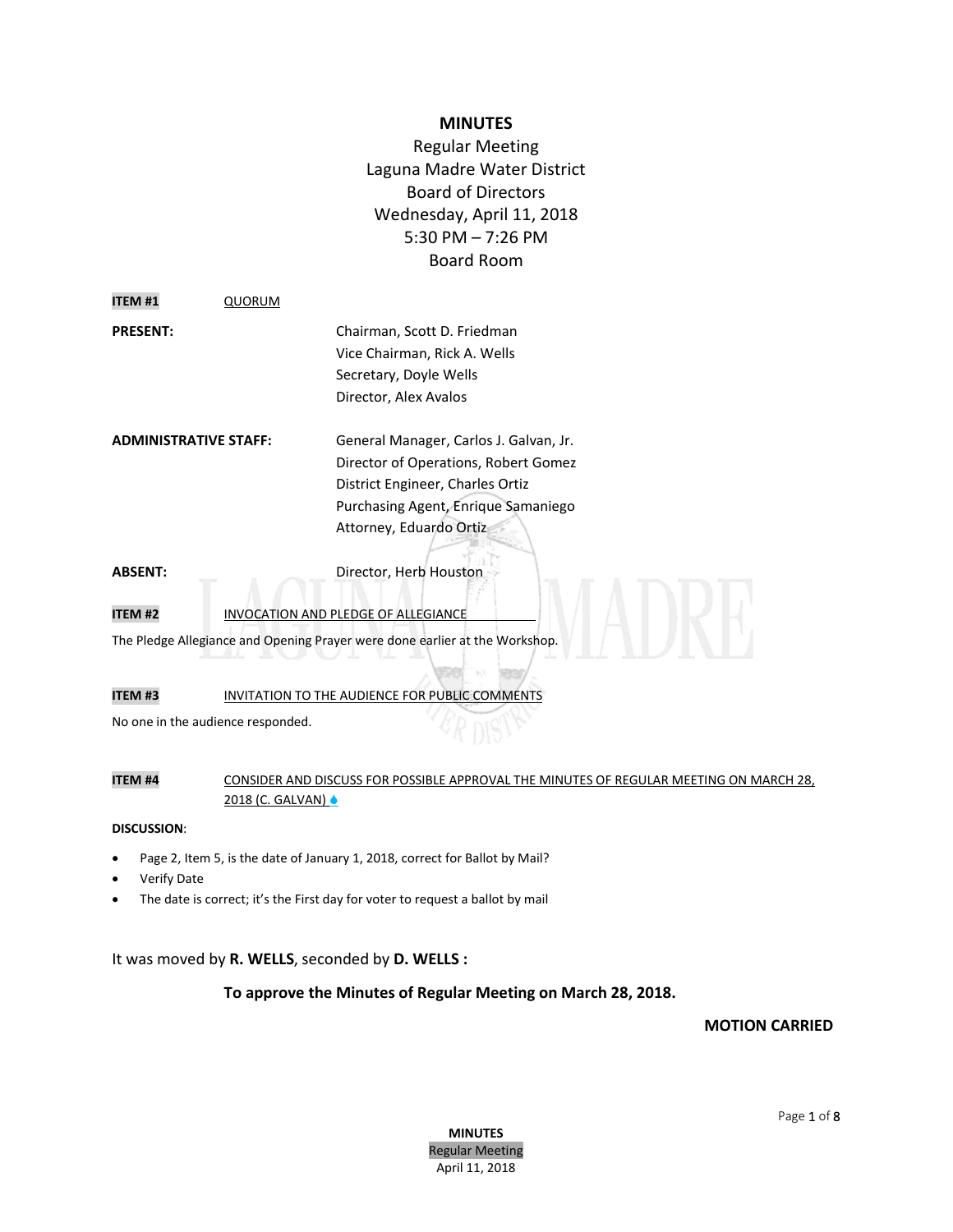## **MINUTES**

Regular Meeting Laguna Madre Water District Board of Directors Wednesday, April 11, 2018 5:30 PM – 7:26 PM Board Room

| <b>PRESENT:</b> | Chairman, Scott D. Friedman  |
|-----------------|------------------------------|
|                 | Vice Chairman, Rick A. Wells |
|                 | Secretary, Doyle Wells       |
|                 | Director, Alex Avalos        |

**ADMINISTRATIVE STAFF:** General Manager, Carlos J. Galvan, Jr. Director of Operations, Robert Gomez District Engineer, Charles Ortiz Purchasing Agent, Enrique Samaniego Attorney, Eduardo Ortiz

**ABSENT:** Director, Herb Houston

**ITEM #1** QUORUM

## **ITEM #2** INVOCATION AND PLEDGE OF ALLEGIANCE

The Pledge Allegiance and Opening Prayer were done earlier at the Workshop.

**ITEM #3** INVITATION TO THE AUDIENCE FOR PUBLIC COMMENTS

No one in the audience responded.

## **ITEM #4** CONSIDER AND DISCUSS FOR POSSIBLE APPROVAL THE MINUTES OF REGULAR MEETING ON MARCH 28, 2018 (C. GALVAN) &

#### **DISCUSSION**:

- Page 2, Item 5, is the date of January 1, 2018, correct for Ballot by Mail?
- Verify Date
- The date is correct; it's the First day for voter to request a ballot by mail

## It was moved by **R. WELLS**, seconded by **D. WELLS :**

## **To approve the Minutes of Regular Meeting on March 28, 2018.**

## **MOTION CARRIED**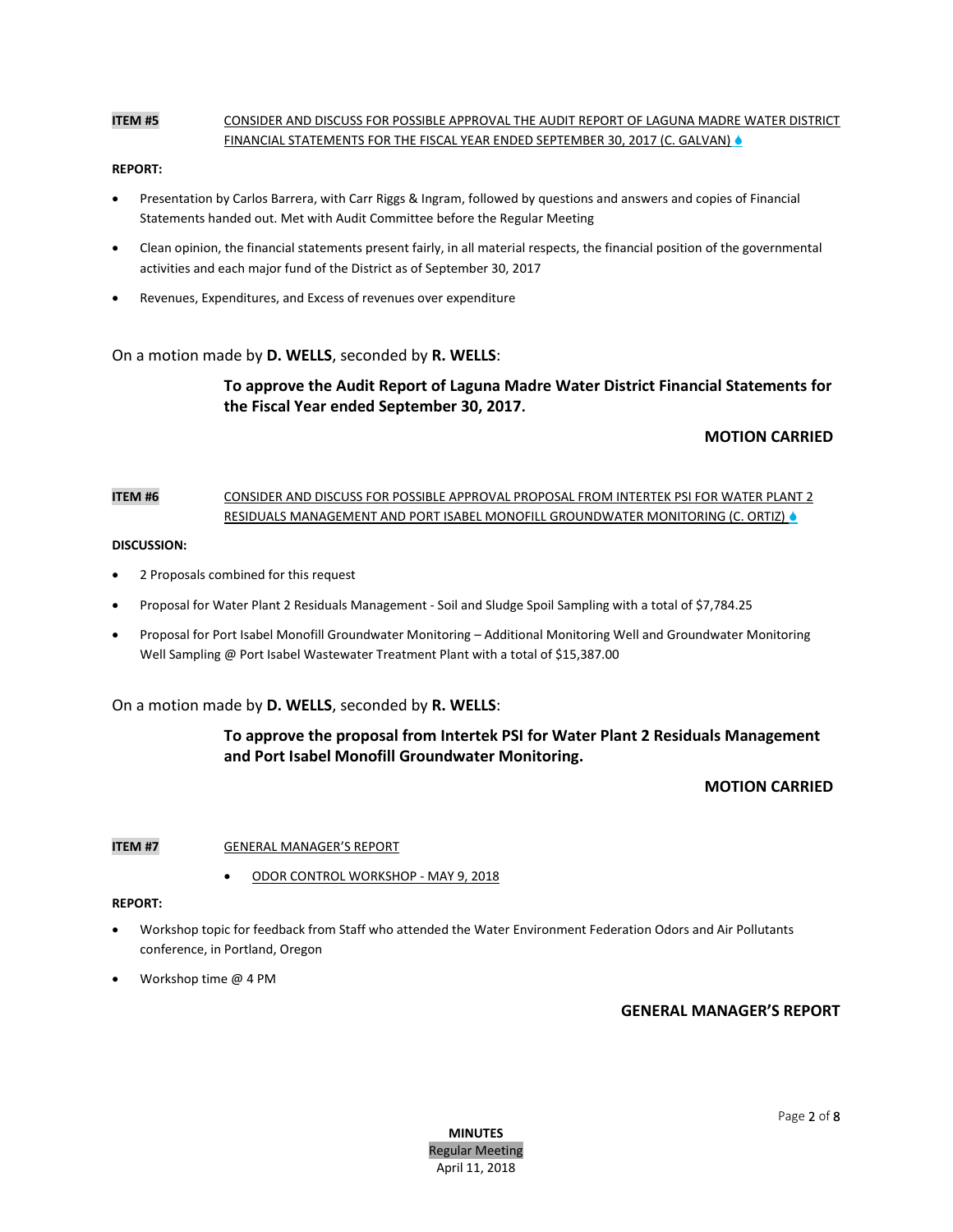## **ITEM #5** CONSIDER AND DISCUSS FOR POSSIBLE APPROVAL THE AUDIT REPORT OF LAGUNA MADRE WATER DISTRICT FINANCIAL STATEMENTS FOR THE FISCAL YEAR ENDED SEPTEMBER 30, 2017 (C. GALVAN) .

#### **REPORT:**

- Presentation by Carlos Barrera, with Carr Riggs & Ingram, followed by questions and answers and copies of Financial Statements handed out. Met with Audit Committee before the Regular Meeting
- Clean opinion, the financial statements present fairly, in all material respects, the financial position of the governmental activities and each major fund of the District as of September 30, 2017
- Revenues, Expenditures, and Excess of revenues over expenditure

On a motion made by **D. WELLS**, seconded by **R. WELLS**:

# **To approve the Audit Report of Laguna Madre Water District Financial Statements for the Fiscal Year ended September 30, 2017.**

## **MOTION CARRIED**

## **ITEM #6** CONSIDER AND DISCUSS FOR POSSIBLE APPROVAL PROPOSAL FROM INTERTEK PSI FOR WATER PLANT 2 RESIDUALS MANAGEMENT AND PORT ISABEL MONOFILL GROUNDWATER MONITORING (C. ORTIZ)

#### **DISCUSSION:**

- 2 Proposals combined for this request
- Proposal for Water Plant 2 Residuals Management Soil and Sludge Spoil Sampling with a total of \$7,784.25
- Proposal for Port Isabel Monofill Groundwater Monitoring Additional Monitoring Well and Groundwater Monitoring Well Sampling @ Port Isabel Wastewater Treatment Plant with a total of \$15,387.00

On a motion made by **D. WELLS**, seconded by **R. WELLS**:

# **To approve the proposal from Intertek PSI for Water Plant 2 Residuals Management and Port Isabel Monofill Groundwater Monitoring.**

## **MOTION CARRIED**

### **ITEM #7 GENERAL MANAGER'S REPORT**

ODOR CONTROL WORKSHOP - MAY 9, 2018

#### **REPORT:**

- Workshop topic for feedback from Staff who attended the Water Environment Federation Odors and Air Pollutants conference, in Portland, Oregon
- Workshop time @ 4 PM

**GENERAL MANAGER'S REPORT**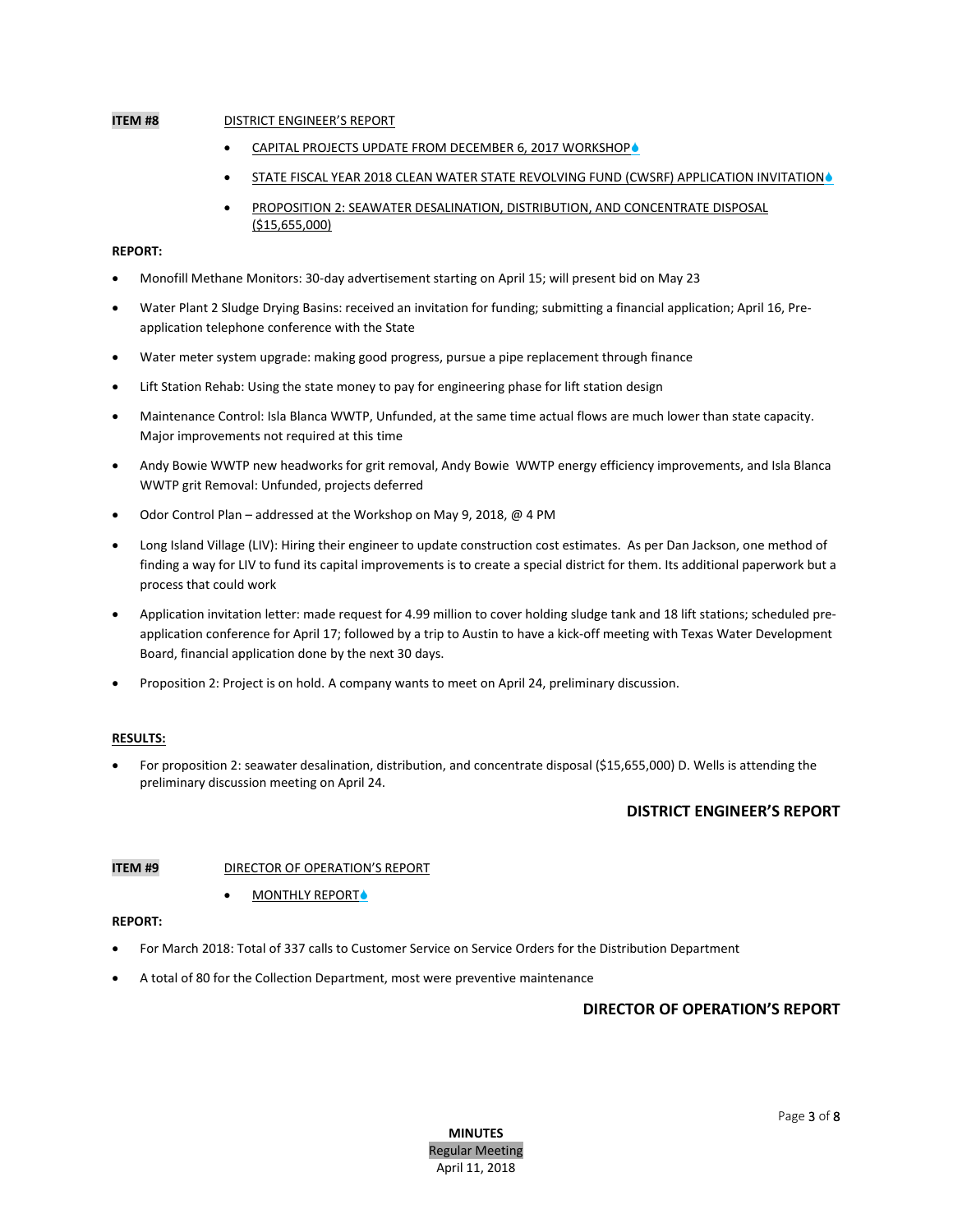## **ITEM #8** DISTRICT ENGINEER'S REPORT

- CAPITAL PROJECTS UPDATE FROM DECEMBER 6, 2017 WORKSHOP
- STATE FISCAL YEAR 2018 CLEAN WATER STATE REVOLVING FUND (CWSRF) APPLICATION INVITATION .
- PROPOSITION 2: SEAWATER DESALINATION, DISTRIBUTION, AND CONCENTRATE DISPOSAL (\$15,655,000)

## **REPORT:**

- Monofill Methane Monitors: 30-day advertisement starting on April 15; will present bid on May 23
- Water Plant 2 Sludge Drying Basins: received an invitation for funding; submitting a financial application; April 16, Preapplication telephone conference with the State
- Water meter system upgrade: making good progress, pursue a pipe replacement through finance
- Lift Station Rehab: Using the state money to pay for engineering phase for lift station design
- Maintenance Control: Isla Blanca WWTP, Unfunded, at the same time actual flows are much lower than state capacity. Major improvements not required at this time
- Andy Bowie WWTP new headworks for grit removal, Andy Bowie WWTP energy efficiency improvements, and Isla Blanca WWTP grit Removal: Unfunded, projects deferred
- Odor Control Plan addressed at the Workshop on May 9, 2018, @ 4 PM
- Long Island Village (LIV): Hiring their engineer to update construction cost estimates. As per Dan Jackson, one method of finding a way for LIV to fund its capital improvements is to create a special district for them. Its additional paperwork but a process that could work
- Application invitation letter: made request for 4.99 million to cover holding sludge tank and 18 lift stations; scheduled preapplication conference for April 17; followed by a trip to Austin to have a kick-off meeting with Texas Water Development Board, financial application done by the next 30 days.
- Proposition 2: Project is on hold. A company wants to meet on April 24, preliminary discussion.

#### **RESULTS:**

 For proposition 2: seawater desalination, distribution, and concentrate disposal (\$15,655,000) D. Wells is attending the preliminary discussion meeting on April 24.

### **DISTRICT ENGINEER'S REPORT**

### **ITEM #9** DIRECTOR OF OPERATION'S REPORT

### MONTHLY REPORT

#### **REPORT:**

- For March 2018: Total of 337 calls to Customer Service on Service Orders for the Distribution Department
- A total of 80 for the Collection Department, most were preventive maintenance

## **DIRECTOR OF OPERATION'S REPORT**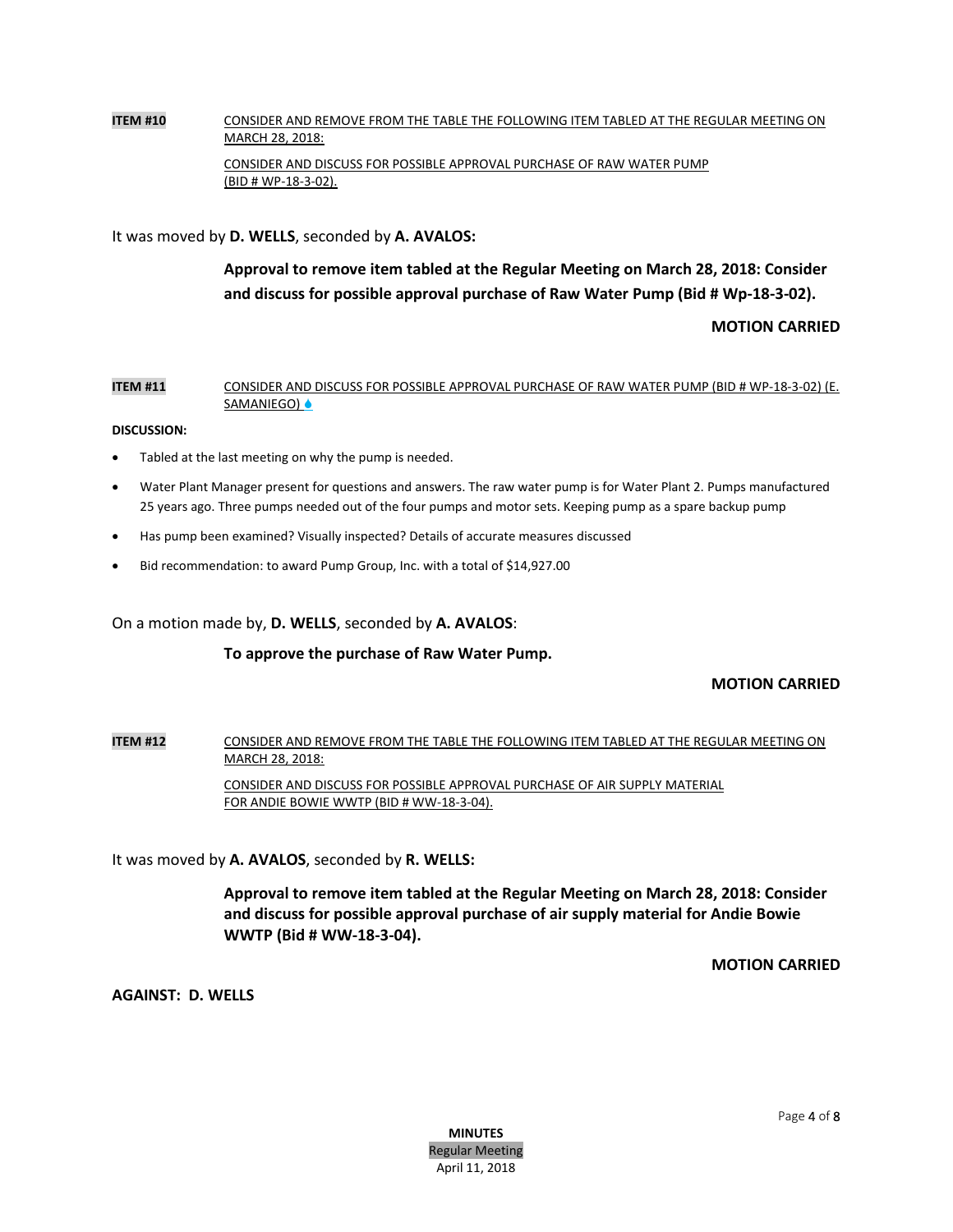# **ITEM #10** CONSIDER AND REMOVE FROM THE TABLE THE FOLLOWING ITEM TABLED AT THE REGULAR MEETING ON MARCH 28, 2018: CONSIDER AND DISCUSS FOR POSSIBLE APPROVAL PURCHASE OF RAW WATER PUMP (BID # WP-18-3-02).

It was moved by **D. WELLS**, seconded by **A. AVALOS:**

# **Approval to remove item tabled at the Regular Meeting on March 28, 2018: Consider and discuss for possible approval purchase of Raw Water Pump (Bid # Wp-18-3-02).**

# **MOTION CARRIED**

## **ITEM #11** CONSIDER AND DISCUSS FOR POSSIBLE APPROVAL PURCHASE OF RAW WATER PUMP (BID # WP-18-3-02) (E. SAMANIEGO) ●

## **DISCUSSION:**

- Tabled at the last meeting on why the pump is needed.
- Water Plant Manager present for questions and answers. The raw water pump is for Water Plant 2. Pumps manufactured 25 years ago. Three pumps needed out of the four pumps and motor sets. Keeping pump as a spare backup pump
- Has pump been examined? Visually inspected? Details of accurate measures discussed
- Bid recommendation: to award Pump Group, Inc. with a total of \$14,927.00

On a motion made by, **D. WELLS**, seconded by **A. AVALOS**:

## **To approve the purchase of Raw Water Pump.**

# **MOTION CARRIED**

**ITEM #12** CONSIDER AND REMOVE FROM THE TABLE THE FOLLOWING ITEM TABLED AT THE REGULAR MEETING ON MARCH 28, 2018: CONSIDER AND DISCUSS FOR POSSIBLE APPROVAL PURCHASE OF AIR SUPPLY MATERIAL FOR ANDIE BOWIE WWTP (BID # WW-18-3-04).

It was moved by **A. AVALOS**, seconded by **R. WELLS:**

**Approval to remove item tabled at the Regular Meeting on March 28, 2018: Consider and discuss for possible approval purchase of air supply material for Andie Bowie WWTP (Bid # WW-18-3-04).** 

## **MOTION CARRIED**

**AGAINST: D. WELLS**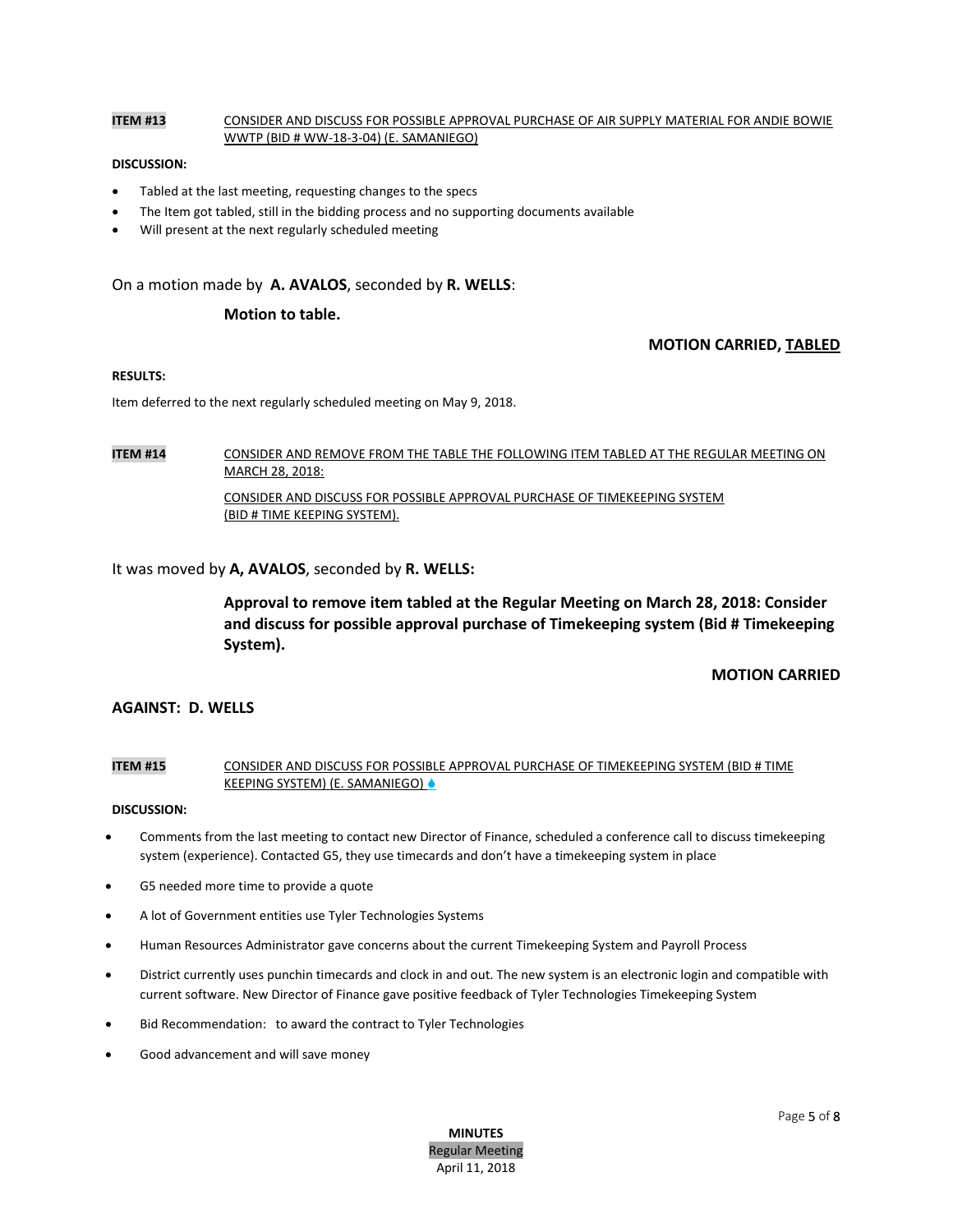## **ITEM #13** CONSIDER AND DISCUSS FOR POSSIBLE APPROVAL PURCHASE OF AIR SUPPLY MATERIAL FOR ANDIE BOWIE WWTP (BID # WW-18-3-04) (E. SAMANIEGO)

#### **DISCUSSION:**

- Tabled at the last meeting, requesting changes to the specs
- The Item got tabled, still in the bidding process and no supporting documents available
- Will present at the next regularly scheduled meeting

On a motion made by **A. AVALOS**, seconded by **R. WELLS**:

#### **Motion to table.**

### **MOTION CARRIED, TABLED**

#### **RESULTS:**

Item deferred to the next regularly scheduled meeting on May 9, 2018.

**ITEM #14** CONSIDER AND REMOVE FROM THE TABLE THE FOLLOWING ITEM TABLED AT THE REGULAR MEETING ON MARCH 28, 2018:

> CONSIDER AND DISCUSS FOR POSSIBLE APPROVAL PURCHASE OF TIMEKEEPING SYSTEM (BID # TIME KEEPING SYSTEM).

## It was moved by **A, AVALOS**, seconded by **R. WELLS:**

**Approval to remove item tabled at the Regular Meeting on March 28, 2018: Consider and discuss for possible approval purchase of Timekeeping system (Bid # Timekeeping System).**

## **MOTION CARRIED**

## **AGAINST: D. WELLS**

## **ITEM #15** CONSIDER AND DISCUSS FOR POSSIBLE APPROVAL PURCHASE OF TIMEKEEPING SYSTEM (BID # TIME KEEPING SYSTEM) (E. SAMANIEGO) ♦

#### **DISCUSSION:**

- Comments from the last meeting to contact new Director of Finance, scheduled a conference call to discuss timekeeping system (experience). Contacted G5, they use timecards and don't have a timekeeping system in place
- G5 needed more time to provide a quote
- A lot of Government entities use Tyler Technologies Systems
- Human Resources Administrator gave concerns about the current Timekeeping System and Payroll Process
- District currently uses punchin timecards and clock in and out. The new system is an electronic login and compatible with current software. New Director of Finance gave positive feedback of Tyler Technologies Timekeeping System
- Bid Recommendation: to award the contract to Tyler Technologies
- Good advancement and will save money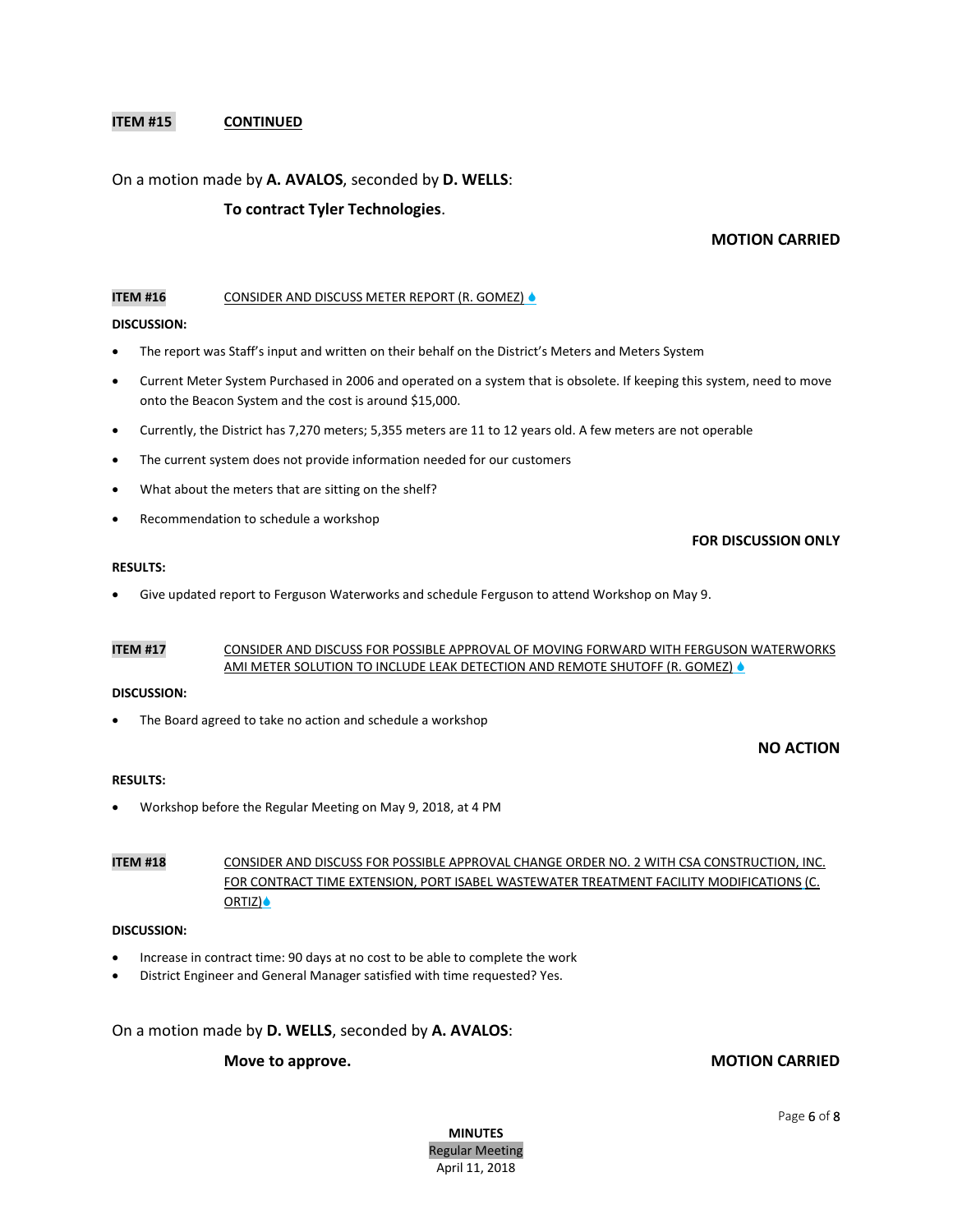## **ITEM #15 CONTINUED**

## On a motion made by **A. AVALOS**, seconded by **D. WELLS**:

## **To contract Tyler Technologies**.

## **MOTION CARRIED**

**FOR DISCUSSION ONLY**

#### **ITEM #16** CONSIDER AND DISCUSS METER REPORT (R. GOMEZ) &

#### **DISCUSSION:**

- The report was Staff's input and written on their behalf on the District's Meters and Meters System
- Current Meter System Purchased in 2006 and operated on a system that is obsolete. If keeping this system, need to move onto the Beacon System and the cost is around \$15,000.
- Currently, the District has 7,270 meters; 5,355 meters are 11 to 12 years old. A few meters are not operable
- The current system does not provide information needed for our customers
- What about the meters that are sitting on the shelf?
- Recommendation to schedule a workshop

#### **RESULTS:**

Give updated report to Ferguson Waterworks and schedule Ferguson to attend Workshop on May 9.

## **ITEM #17** CONSIDER AND DISCUSS FOR POSSIBLE APPROVAL OF MOVING FORWARD WITH FERGUSON WATERWORKS AMI METER SOLUTION TO INCLUDE LEAK DETECTION AND REMOTE SHUTOFF (R. GOMEZ) &

#### **DISCUSSION:**

The Board agreed to take no action and schedule a workshop

## **NO ACTION**

#### **RESULTS:**

Workshop before the Regular Meeting on May 9, 2018, at 4 PM

## **ITEM #18** CONSIDER AND DISCUSS FOR POSSIBLE APPROVAL CHANGE ORDER NO. 2 WITH CSA CONSTRUCTION, INC. FOR CONTRACT TIME EXTENSION, PORT ISABEL WASTEWATER TREATMENT FACILITY MODIFICATIONS (C. ORTIZ) ●

#### **DISCUSSION:**

- Increase in contract time: 90 days at no cost to be able to complete the work
- District Engineer and General Manager satisfied with time requested? Yes.

On a motion made by **D. WELLS**, seconded by **A. AVALOS**:

# **Move to approve.** MOTION CARRIED

**MINUTES** Regular Meeting April 11, 2018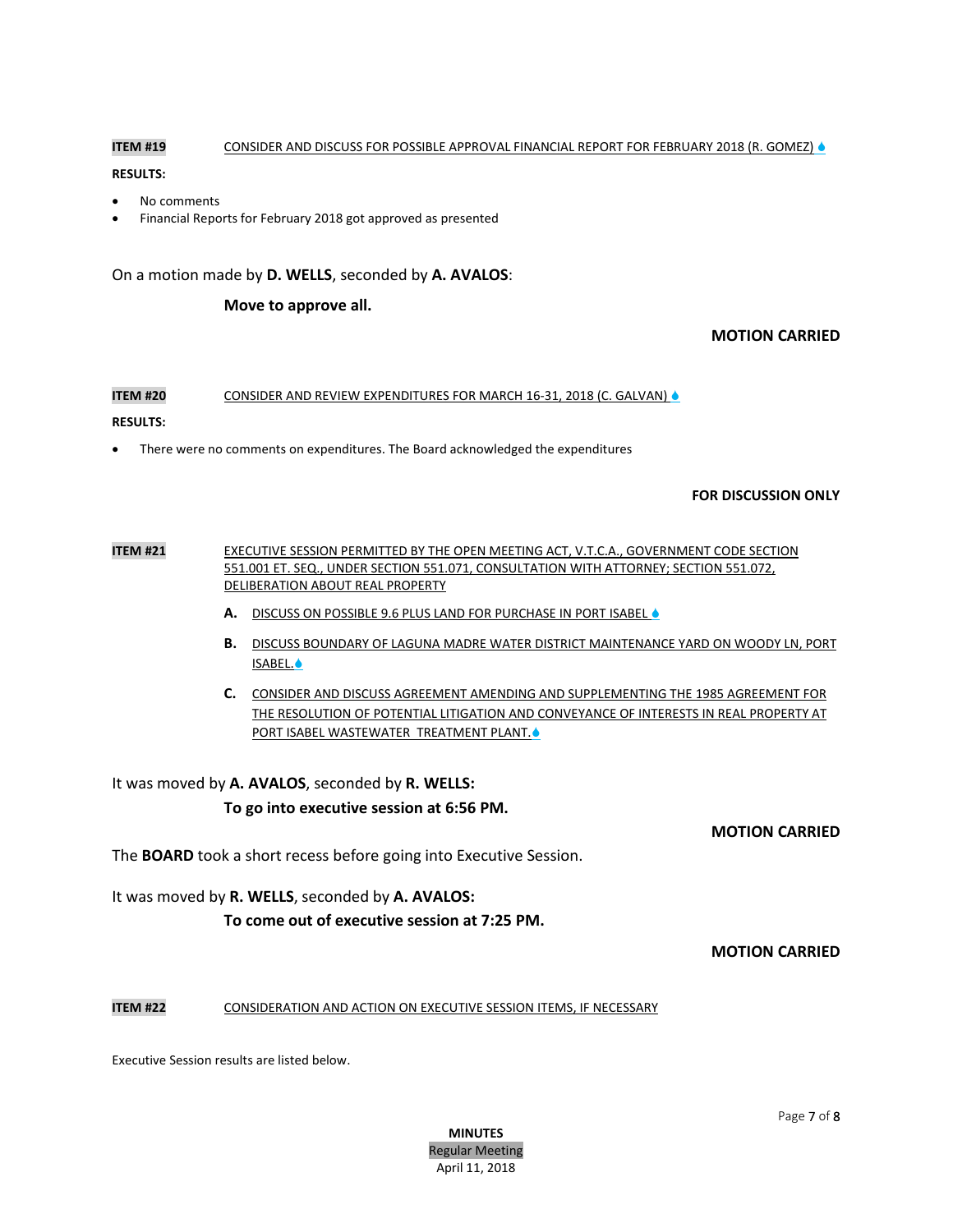## **ITEM #19** CONSIDER AND DISCUSS FOR POSSIBLE APPROVAL FINANCIAL REPORT FOR FEBRUARY 2018 (R. GOMEZ) &

## **RESULTS:**

- No comments
- Financial Reports for February 2018 got approved as presented

On a motion made by **D. WELLS**, seconded by **A. AVALOS**:

## **Move to approve all.**

# **MOTION CARRIED**

## **ITEM #20** CONSIDER AND REVIEW EXPENDITURES FOR MARCH 16-31, 2018 (C. GALVAN)  $\triangle$

### **RESULTS:**

There were no comments on expenditures. The Board acknowledged the expenditures

## **FOR DISCUSSION ONLY**

## **ITEM #21** EXECUTIVE SESSION PERMITTED BY THE OPEN MEETING ACT, V.T.C.A., GOVERNMENT CODE SECTION 551.001 ET. SEQ., UNDER SECTION 551.071, CONSULTATION WITH ATTORNEY; SECTION 551.072, DELIBERATION ABOUT REAL PROPERTY

- A. DISCUSS ON POSSIBLE 9.6 PLUS LAND FOR PURCHASE IN PORT ISABEL .
- **B.** DISCUSS BOUNDARY OF LAGUNA MADRE WATER DISTRICT MAINTENANCE YARD ON WOODY LN, PORT ISABEL.
- **C.** CONSIDER AND DISCUSS AGREEMENT AMENDING AND SUPPLEMENTING THE 1985 AGREEMENT FOR THE RESOLUTION OF POTENTIAL LITIGATION AND CONVEYANCE OF INTERESTS IN REAL PROPERTY AT PORT ISABEL WASTEWATER TREATMENT PLANT.<sup>6</sup>

It was moved by **A. AVALOS**, seconded by **R. WELLS:**

## **To go into executive session at 6:56 PM.**

**MOTION CARRIED**

The **BOARD** took a short recess before going into Executive Session.

It was moved by **R. WELLS**, seconded by **A. AVALOS:**

**To come out of executive session at 7:25 PM.**

**MOTION CARRIED**

## **ITEM #22** CONSIDERATION AND ACTION ON EXECUTIVE SESSION ITEMS, IF NECESSARY

Executive Session results are listed below.

**MINUTES** Regular Meeting April 11, 2018